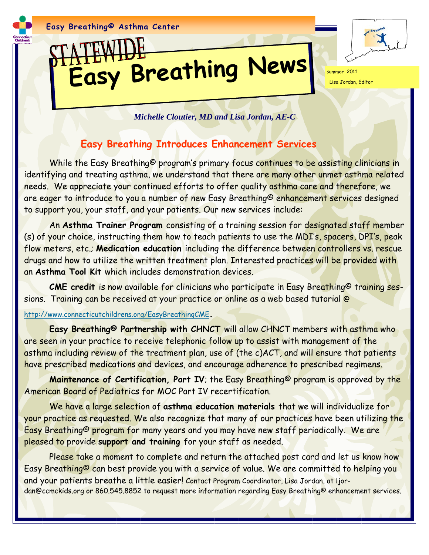

# **Easy Breathing News** summer 2011

Lisa Jordan, Editor

*Michelle Cloutier, MD and Lisa Jordan, AE-C*

### **Easy Breathing Introduces Enhancement Services**

While the Easy Breathing<sup>©</sup> program's primary focus continues to be assisting clinicians in identifying and treating asthma, we understand that there are many other unmet asthma related needs. We appreciate your continued efforts to offer quality asthma care and therefore, we are eager to introduce to you a number of new Easy Breathing© enhancement services designed to support you, your staff, and your patients. Our new services include:

 An **Asthma Trainer Program** consisting of a training session for designated staff member (s) of your choice, instructing them how to teach patients to use the MDI's, spacers, DPI's, peak flow meters, etc.; **Medication education** including the difference between controllers vs. rescue drugs and how to utilize the written treatment plan. Interested practices will be provided with an **Asthma Tool Kit** which includes demonstration devices.

 **CME credit** is now available for clinicians who participate in Easy Breathing© training sessions. Training can be received at your practice or online as a web based tutorial @

#### <http://www.connecticutchildrens.org/EasyBreathingCME>**.**

 **Easy Breathing© Partnership with CHNCT** will allow CHNCT members with asthma who are seen in your practice to receive telephonic follow up to assist with management of the asthma including review of the treatment plan, use of (the c)ACT, and will ensure that patients have prescribed medications and devices, and encourage adherence to prescribed regimens.

**Maintenance of Certification, Part IV**; the Easy Breathing© program is approved by the American Board of Pediatrics for MOC Part IV recertification.

 We have a large selection of **asthma education materials** that we will individualize for your practice as requested. We also recognize that many of our practices have been utilizing the Easy Breathing© program for many years and you may have new staff periodically. We are pleased to provide **support and training** for your staff as needed.

Please take a moment to complete and return the attached post card and let us know how Easy Breathing© can best provide you with a service of value. We are committed to helping you and your patients breathe a little easier! Contact Program Coordinator, Lisa Jordan, at ljordan@ccmckids.org or 860.545.8852 to request more information regarding Easy Breathing© enhancement services.